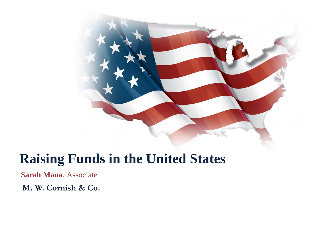

# **Raising Funds in the United States**

**Sarah Mana**, Associate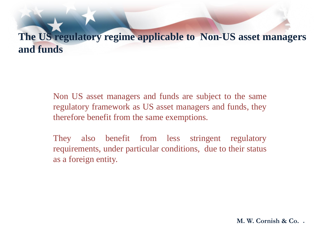# **The US regulatory regime applicable to Non-US asset managers and funds**

Non US asset managers and funds are subject to the same regulatory framework as US asset managers and funds, they therefore benefit from the same exemptions.

They also benefit from less stringent regulatory requirements, under particular conditions, due to their status as a foreign entity.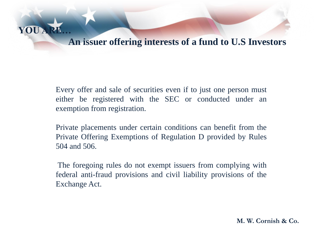

Every offer and sale of securities even if to just one person must either be registered with the SEC or conducted under an exemption from registration.

**YOU AR** 

Private placements under certain conditions can benefit from the Private Offering Exemptions of Regulation D provided by Rules 504 and 506.

The foregoing rules do not exempt issuers from complying with federal anti-fraud provisions and civil liability provisions of the Exchange Act.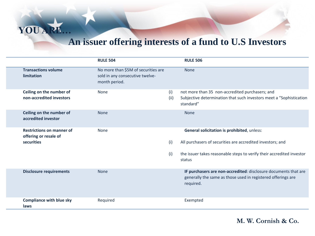## **An issuer offering interests of a fund to U.S Investors**

|                                                                         | <b>RULE 504</b>                                                                         |             | <b>RULE 506</b>                                                                                                                                                                              |
|-------------------------------------------------------------------------|-----------------------------------------------------------------------------------------|-------------|----------------------------------------------------------------------------------------------------------------------------------------------------------------------------------------------|
| <b>Transactions volume</b><br>limitation                                | No more than \$5M of securities are<br>sold in any consecutive twelve-<br>month period. |             | <b>None</b>                                                                                                                                                                                  |
| Ceiling on the number of<br>non-accredited investors                    | None                                                                                    | (i)<br>(ii) | not more than 35 non-accredited purchasers; and<br>Subjective determination that such investors meet a "Sophistication<br>standard"                                                          |
| Ceiling on the number of<br>accredited investor                         | <b>None</b>                                                                             |             | <b>None</b>                                                                                                                                                                                  |
| <b>Restrictions on manner of</b><br>offering or resale of<br>securities | None                                                                                    | (i)<br>(i)  | General solicitation is prohibited, unless:<br>All purchasers of securities are accredited investors; and<br>the issuer takes reasonable steps to verify their accredited investor<br>status |
| <b>Disclosure requirements</b>                                          | <b>None</b>                                                                             |             | IF purchasers are non-accredited: disclosure documents that are<br>generally the same as those used in registered offerings are<br>required.                                                 |
| <b>Compliance with blue sky</b><br>laws                                 | Required                                                                                |             | Exempted                                                                                                                                                                                     |

**YOU ARE…**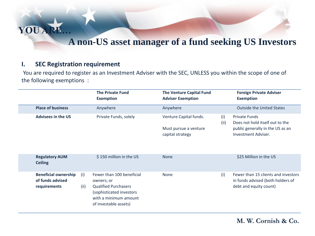

## **A non-US asset manager of a fund seeking US Investors**

## **I. SEC Registration requirement**

You are required to register as an Investment Adviser with the SEC, UNLESS you within the scope of one of the following exemptions :

|                                                                 |             | <b>The Private Fund</b><br><b>Exemption</b>                                                                                                          | <b>The Venture Capital Fund</b><br><b>Adviser Exemption</b>         |             | <b>Foreign Private Adviser</b><br><b>Exemption</b>                                                                 |
|-----------------------------------------------------------------|-------------|------------------------------------------------------------------------------------------------------------------------------------------------------|---------------------------------------------------------------------|-------------|--------------------------------------------------------------------------------------------------------------------|
| <b>Place of business</b>                                        |             | Anywhere                                                                                                                                             | Anywhere                                                            |             | <b>Outside the United States</b>                                                                                   |
| <b>Advisees in the US</b>                                       |             | Private Funds, solely                                                                                                                                | Venture Capital funds.<br>Must pursue a venture<br>capital strategy | (i)<br>(ii) | <b>Private Funds</b><br>Does not hold itself out to the<br>public generally in the US as an<br>Investment Adviser. |
| <b>Regulatory AUM</b><br><b>Ceiling</b>                         |             | \$150 million in the US                                                                                                                              | <b>None</b>                                                         |             | \$25 Million in the US                                                                                             |
| <b>Beneficial ownership</b><br>of funds advised<br>requirements | (i)<br>(ii) | Fewer than 100 beneficial<br>owners; or<br><b>Qualified Purchasers</b><br>(sophisticated investors<br>with a minimum amount<br>of investable assets) | None                                                                | (i)         | Fewer than 15 clients and investors<br>in funds advised (both holders of<br>debt and equity count)                 |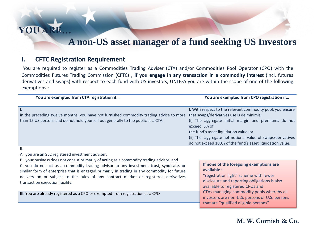

## **A non-US asset manager of a fund seeking US Investors**

### **I. CFTC Registration Requirement**

You are required to register as a Commodities Trading Adviser (CTA) and/or Commodities Pool Operator (CPO) with the Commodities Futures Trading Commission (CFTC) **, if you engage in any transaction in a commodity interest** (incl. futures derivatives and swaps) with respect to each fund with US investors, UNLESS you are within the scope of one of the following exemptions :

| You are exempted from CTA registration if                                               | You are exempted from CPO registration if                  |  |  |  |
|-----------------------------------------------------------------------------------------|------------------------------------------------------------|--|--|--|
|                                                                                         |                                                            |  |  |  |
|                                                                                         | I. With respect to the relevant commodity pool, you ensure |  |  |  |
| in the preceding twelve months, you have not furnished commodity trading advice to more | that swaps/derivatives use is de minimis:                  |  |  |  |
| than 15 US persons and do not hold yourself out generally to the public as a CTA.       | (i) The aggregate initial margin and premiums do not       |  |  |  |
|                                                                                         | exceed 5% of                                               |  |  |  |
|                                                                                         | the fund's asset liquidation value, or                     |  |  |  |
|                                                                                         | (ii) The aggregate net notional value of swaps/derivatives |  |  |  |
|                                                                                         | do not exceed 100% of the fund's asset liquidation value.  |  |  |  |
|                                                                                         |                                                            |  |  |  |

#### II.

A. you are an SEC registered investment adviser;

B. your business does not consist primarily of acting as a commodity trading advisor; and C. you do not act as a commodity trading advisor to any investment trust, syndicate, or similar form of enterprise that is engaged primarily in trading in any commodity for future delivery on or subject to the rules of any contract market or registered derivatives transaction execution facility.

III. You are already registered as a CPO or exempted from registration as a CPO

#### **If none of the foregoing exemptions are available :**

"registration light" scheme with fewer disclosure and reporting obligations is also available to registered CPOs and CTAs managing commodity pools whereby all investors are non-U.S. persons or U.S. persons that are "qualified eligible persons"